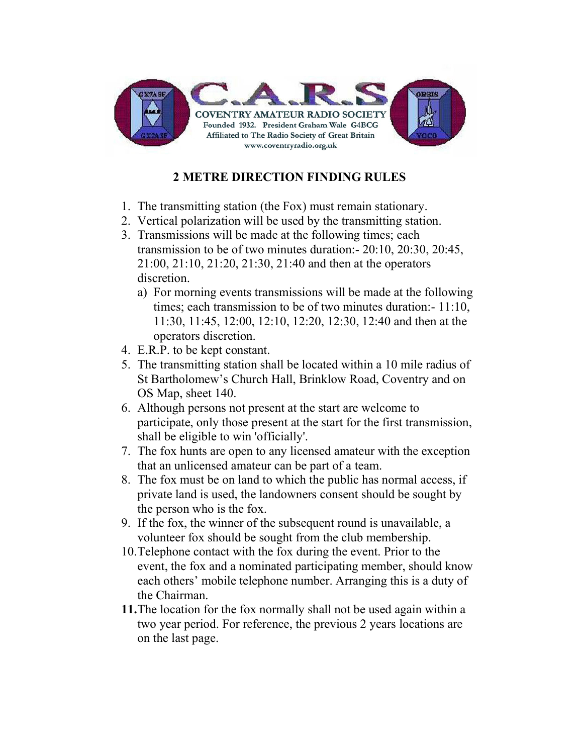

# 2 METRE DIRECTION FINDING RULES

- 1. The transmitting station (the Fox) must remain stationary.
- 2. Vertical polarization will be used by the transmitting station.
- 3. Transmissions will be made at the following times; each transmission to be of two minutes duration:- 20:10, 20:30, 20:45, 21:00, 21:10, 21:20, 21:30, 21:40 and then at the operators discretion.
	- a) For morning events transmissions will be made at the following times; each transmission to be of two minutes duration:- 11:10, 11:30, 11:45, 12:00, 12:10, 12:20, 12:30, 12:40 and then at the operators discretion.
- 4. E.R.P. to be kept constant.
- 5. The transmitting station shall be located within a 10 mile radius of St Bartholomew's Church Hall, Brinklow Road, Coventry and on OS Map, sheet 140.
- 6. Although persons not present at the start are welcome to participate, only those present at the start for the first transmission, shall be eligible to win 'officially'.
- 7. The fox hunts are open to any licensed amateur with the exception that an unlicensed amateur can be part of a team.
- 8. The fox must be on land to which the public has normal access, if private land is used, the landowners consent should be sought by the person who is the fox.
- 9. If the fox, the winner of the subsequent round is unavailable, a volunteer fox should be sought from the club membership.
- 10.Telephone contact with the fox during the event. Prior to the event, the fox and a nominated participating member, should know each others' mobile telephone number. Arranging this is a duty of the Chairman.
- 11.The location for the fox normally shall not be used again within a two year period. For reference, the previous 2 years locations are on the last page.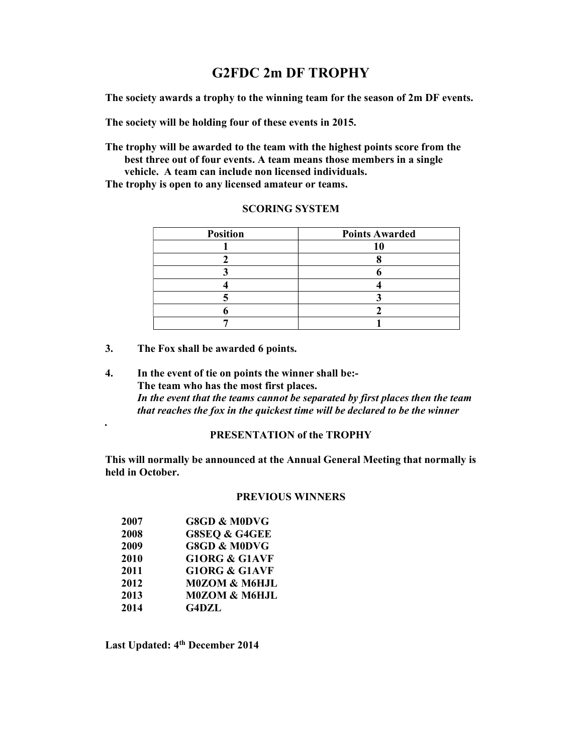## G2FDC 2m DF TROPHY

The society awards a trophy to the winning team for the season of 2m DF events.

The society will be holding four of these events in 2015.

The trophy will be awarded to the team with the highest points score from the best three out of four events. A team means those members in a single vehicle. A team can include non licensed individuals.

The trophy is open to any licensed amateur or teams.

| <b>Position</b> | <b>Points Awarded</b> |
|-----------------|-----------------------|
|                 |                       |
|                 |                       |
|                 |                       |
|                 |                       |
|                 |                       |
|                 |                       |
|                 |                       |

#### SCORING SYSTEM

- 3. The Fox shall be awarded 6 points.
- 4. In the event of tie on points the winner shall be:- The team who has the most first places. In the event that the teams cannot be separated by first places then the team that reaches the fox in the quickest time will be declared to be the winner .

## PRESENTATION of the TROPHY

This will normally be announced at the Annual General Meeting that normally is held in October.

### PREVIOUS WINNERS

| 2007 | <b>G8GD &amp; M0DVG</b>  |
|------|--------------------------|
| 2008 | <b>G8SEQ &amp; G4GEE</b> |
| 2009 | <b>G8GD &amp; M0DVG</b>  |
| 2010 | <b>G10RG &amp; G1AVF</b> |
| 2011 | <b>G10RG &amp; G1AVF</b> |
| 2012 | M0ZOM & M6HJL            |
| 2013 | <b>M0ZOM &amp; M6HJL</b> |
| 2014 | <b>G4DZL</b>             |

Last Updated: 4<sup>th</sup> December 2014